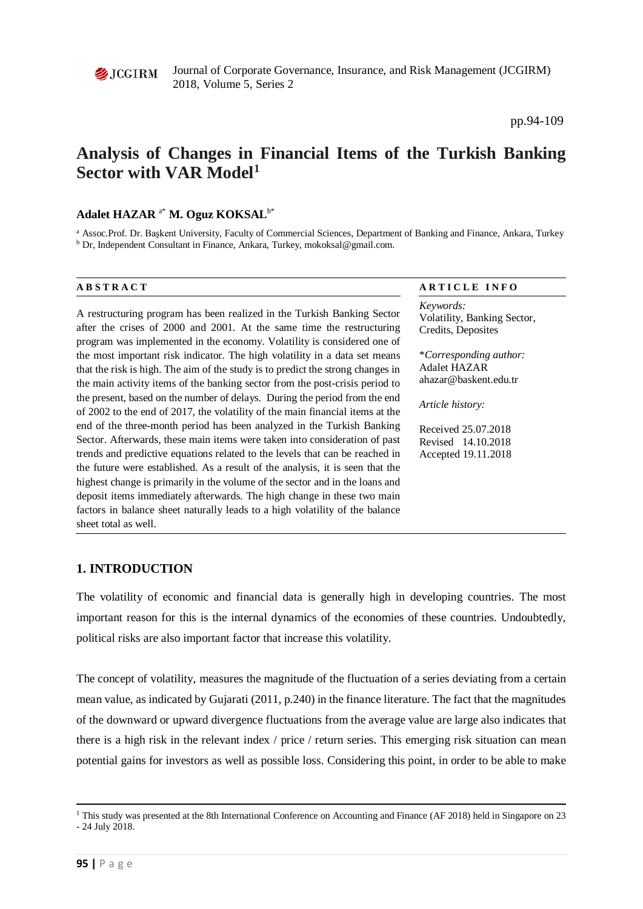

Journal of Corporate Governance, Insurance, and Risk Management (JCGIRM) 2018, Volume 5, Series 2

pp.94-109

# **Analysis of Changes in Financial Items of the Turkish Banking Sector with VAR Model[1](#page-0-0)**

#### **Adalet HAZAR** a\* **M. Oguz KOKSAL**b\*

<sup>a</sup> Assoc.Prof. Dr. Başkent University, Faculty of Commercial Sciences, Department of Banking and Finance, Ankara, Turkey <sup>b</sup> Dr, Independent Consultant in Finance, Ankara, Turkey, mokoksal@gmail.com.

A restructuring program has been realized in the Turkish Banking Sector after the crises of 2000 and 2001. At the same time the restructuring program was implemented in the economy. Volatility is considered one of the most important risk indicator. The high volatility in a data set means that the risk is high. The aim of the study is to predict the strong changes in the main activity items of the banking sector from the post-crisis period to the present, based on the number of delays. During the period from the end of 2002 to the end of 2017, the volatility of the main financial items at the end of the three-month period has been analyzed in the Turkish Banking Sector. Afterwards, these main items were taken into consideration of past trends and predictive equations related to the levels that can be reached in the future were established. As a result of the analysis, it is seen that the highest change is primarily in the volume of the sector and in the loans and deposit items immediately afterwards. The high change in these two main factors in balance sheet naturally leads to a high volatility of the balance sheet total as well.

#### **A B S T R A C T A R T I C L E I N F O**

*Keywords:* Volatility, Banking Sector, Credits, Deposites

\**Corresponding author:*  Adalet HAZAR ahazar@baskent.edu.tr

*Article history:* 

Received 25.07.2018 Revised 14.10.2018 Accepted 19.11.2018

#### **1. INTRODUCTION**

The volatility of economic and financial data is generally high in developing countries. The most important reason for this is the internal dynamics of the economies of these countries. Undoubtedly, political risks are also important factor that increase this volatility.

The concept of volatility, measures the magnitude of the fluctuation of a series deviating from a certain mean value, as indicated by Gujarati (2011, p.240) in the finance literature. The fact that the magnitudes of the downward or upward divergence fluctuations from the average value are large also indicates that there is a high risk in the relevant index / price / return series. This emerging risk situation can mean potential gains for investors as well as possible loss. Considering this point, in order to be able to make

**.** 

<span id="page-0-0"></span><sup>1</sup> This study was presented at the 8th International Conference on Accounting and Finance (AF 2018) held in Singapore on 23 - 24 July 2018.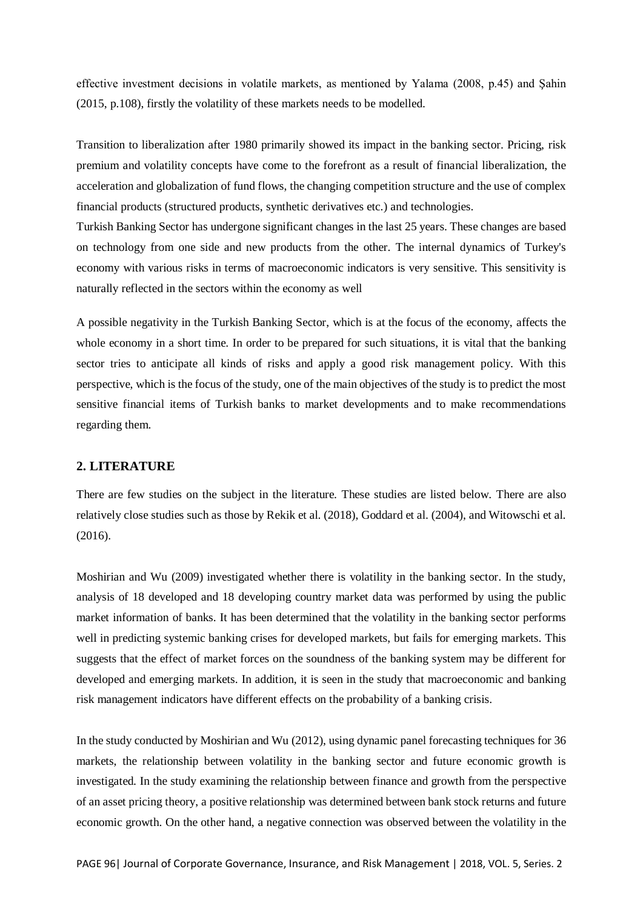effective investment decisions in volatile markets, as mentioned by Yalama (2008, p.45) and Şahin (2015, p.108), firstly the volatility of these markets needs to be modelled.

Transition to liberalization after 1980 primarily showed its impact in the banking sector. Pricing, risk premium and volatility concepts have come to the forefront as a result of financial liberalization, the acceleration and globalization of fund flows, the changing competition structure and the use of complex financial products (structured products, synthetic derivatives etc.) and technologies.

Turkish Banking Sector has undergone significant changes in the last 25 years. These changes are based on technology from one side and new products from the other. The internal dynamics of Turkey's economy with various risks in terms of macroeconomic indicators is very sensitive. This sensitivity is naturally reflected in the sectors within the economy as well

A possible negativity in the Turkish Banking Sector, which is at the focus of the economy, affects the whole economy in a short time. In order to be prepared for such situations, it is vital that the banking sector tries to anticipate all kinds of risks and apply a good risk management policy. With this perspective, which is the focus of the study, one of the main objectives of the study is to predict the most sensitive financial items of Turkish banks to market developments and to make recommendations regarding them.

#### **2. LITERATURE**

There are few studies on the subject in the literature. These studies are listed below. There are also relatively close studies such as those by Rekik et al. (2018), Goddard et al. (2004), and Witowschi et al. (2016).

Moshirian and Wu (2009) investigated whether there is volatility in the banking sector. In the study, analysis of 18 developed and 18 developing country market data was performed by using the public market information of banks. It has been determined that the volatility in the banking sector performs well in predicting systemic banking crises for developed markets, but fails for emerging markets. This suggests that the effect of market forces on the soundness of the banking system may be different for developed and emerging markets. In addition, it is seen in the study that macroeconomic and banking risk management indicators have different effects on the probability of a banking crisis.

In the study conducted by Moshirian and Wu (2012), using dynamic panel forecasting techniques for 36 markets, the relationship between volatility in the banking sector and future economic growth is investigated. In the study examining the relationship between finance and growth from the perspective of an asset pricing theory, a positive relationship was determined between bank stock returns and future economic growth. On the other hand, a negative connection was observed between the volatility in the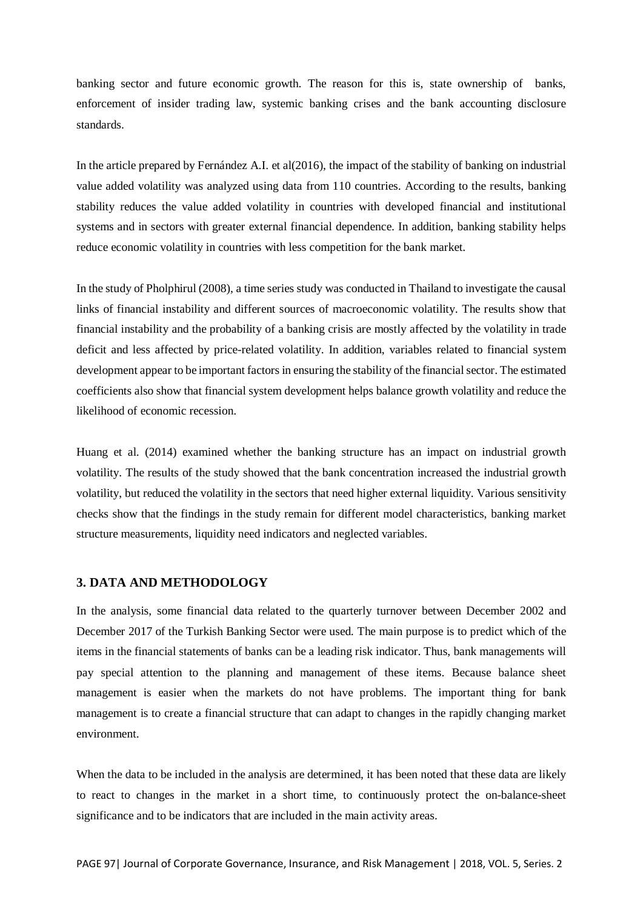banking sector and future economic growth. The reason for this is, state ownership of banks, enforcement of insider trading law, systemic banking crises and the bank accounting disclosure standards.

In the article prepared by Fernández A.I. et al(2016), the impact of the stability of banking on industrial value added volatility was analyzed using data from 110 countries. According to the results, banking stability reduces the value added volatility in countries with developed financial and institutional systems and in sectors with greater external financial dependence. In addition, banking stability helps reduce economic volatility in countries with less competition for the bank market.

In the study of Pholphirul (2008), a time series study was conducted in Thailand to investigate the causal links of financial instability and different sources of macroeconomic volatility. The results show that financial instability and the probability of a banking crisis are mostly affected by the volatility in trade deficit and less affected by price-related volatility. In addition, variables related to financial system development appear to be important factors in ensuring the stability of the financial sector. The estimated coefficients also show that financial system development helps balance growth volatility and reduce the likelihood of economic recession.

Huang et al. (2014) examined whether the banking structure has an impact on industrial growth volatility. The results of the study showed that the bank concentration increased the industrial growth volatility, but reduced the volatility in the sectors that need higher external liquidity. Various sensitivity checks show that the findings in the study remain for different model characteristics, banking market structure measurements, liquidity need indicators and neglected variables.

### **3. DATA AND METHODOLOGY**

In the analysis, some financial data related to the quarterly turnover between December 2002 and December 2017 of the Turkish Banking Sector were used. The main purpose is to predict which of the items in the financial statements of banks can be a leading risk indicator. Thus, bank managements will pay special attention to the planning and management of these items. Because balance sheet management is easier when the markets do not have problems. The important thing for bank management is to create a financial structure that can adapt to changes in the rapidly changing market environment.

When the data to be included in the analysis are determined, it has been noted that these data are likely to react to changes in the market in a short time, to continuously protect the on-balance-sheet significance and to be indicators that are included in the main activity areas.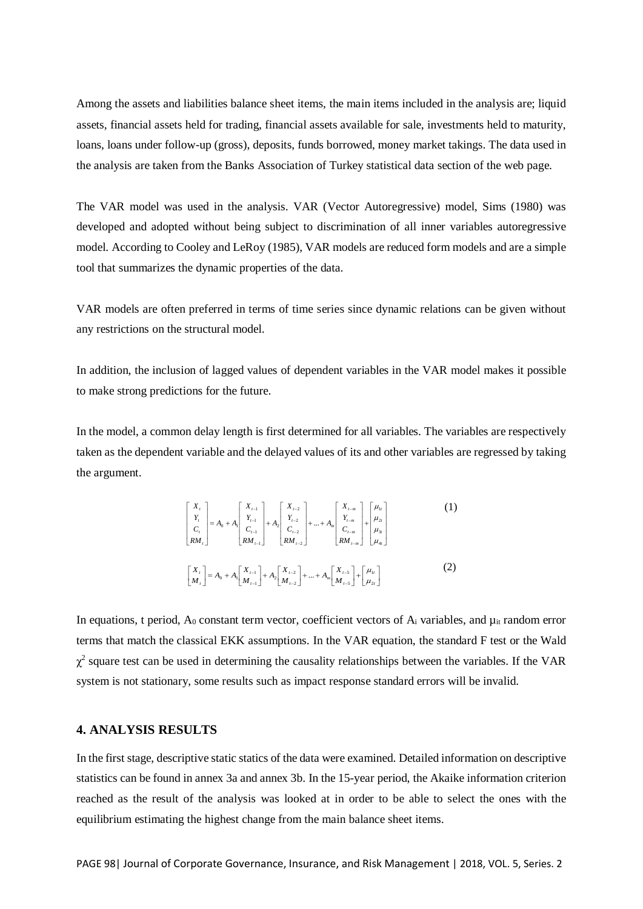Among the assets and liabilities balance sheet items, the main items included in the analysis are; liquid assets, financial assets held for trading, financial assets available for sale, investments held to maturity, loans, loans under follow-up (gross), deposits, funds borrowed, money market takings. The data used in the analysis are taken from the Banks Association of Turkey statistical data section of the web page.

The VAR model was used in the analysis. VAR (Vector Autoregressive) model, Sims (1980) was developed and adopted without being subject to discrimination of all inner variables autoregressive model. According to Cooley and LeRoy (1985), VAR models are reduced form models and are a simple tool that summarizes the dynamic properties of the data.

VAR models are often preferred in terms of time series since dynamic relations can be given without any restrictions on the structural model.

In addition, the inclusion of lagged values of dependent variables in the VAR model makes it possible to make strong predictions for the future.

In the model, a common delay length is first determined for all variables. The variables are respectively taken as the dependent variable and the delayed values of its and other variables are regressed by taking the argument.

$$
\begin{bmatrix} X_{t} \\ Y_{t} \\ C_{t} \\ RM_{t} \end{bmatrix} = A_{0} + A_{1} \begin{bmatrix} X_{t-1} \\ Y_{t-1} \\ C_{t-1} \\ RM_{t-1} \end{bmatrix} + A_{2} \begin{bmatrix} X_{t-2} \\ Y_{t-2} \\ C_{t-2} \\ RM_{t-2} \end{bmatrix} + ... + A_{m} \begin{bmatrix} X_{t-m} \\ Y_{t-m} \\ C_{t-m} \\ RM_{t-m} \end{bmatrix} + \begin{bmatrix} \mu_{11} \\ \mu_{21} \\ \mu_{31} \\ \mu_{41} \end{bmatrix}
$$
(1)  

$$
\begin{bmatrix} X_{t} \\ M_{t} \end{bmatrix} = A_{0} + A_{1} \begin{bmatrix} X_{t-1} \\ M_{t-1} \end{bmatrix} + A_{2} \begin{bmatrix} X_{t-2} \\ M_{t-2} \end{bmatrix} + ... + A_{m} \begin{bmatrix} X_{t-5} \\ M_{t-5} \end{bmatrix} + \begin{bmatrix} \mu_{11} \\ \mu_{21} \end{bmatrix}
$$
(2)

In equations, t period,  $A_0$  constant term vector, coefficient vectors of  $A_i$  variables, and  $\mu$ <sub>it</sub> random error terms that match the classical EKK assumptions. In the VAR equation, the standard F test or the Wald  $\chi^2$  square test can be used in determining the causality relationships between the variables. If the VAR system is not stationary, some results such as impact response standard errors will be invalid.

### **4. ANALYSIS RESULTS**

In the first stage, descriptive static statics of the data were examined. Detailed information on descriptive statistics can be found in annex 3a and annex 3b. In the 15-year period, the Akaike information criterion reached as the result of the analysis was looked at in order to be able to select the ones with the equilibrium estimating the highest change from the main balance sheet items.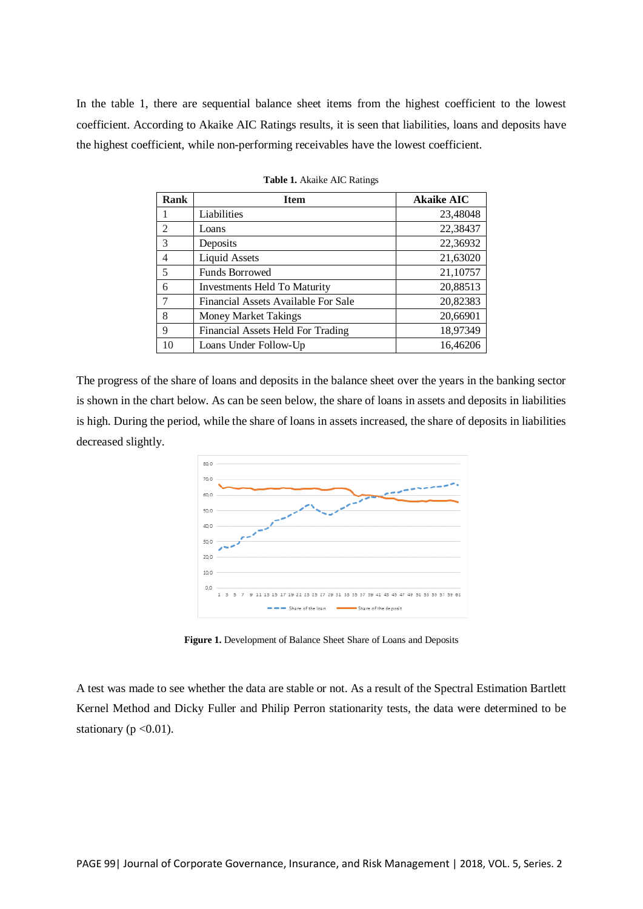In the table 1, there are sequential balance sheet items from the highest coefficient to the lowest coefficient. According to Akaike AIC Ratings results, it is seen that liabilities, loans and deposits have the highest coefficient, while non-performing receivables have the lowest coefficient.

| <b>Rank</b>    | <b>Item</b>                         | <b>Akaike AIC</b> |
|----------------|-------------------------------------|-------------------|
|                | Liabilities                         | 23,48048          |
| 2              | Loans                               | 22,38437          |
| 3              | Deposits                            | 22,36932          |
| $\overline{4}$ | <b>Liquid Assets</b>                | 21,63020          |
| 5              | <b>Funds Borrowed</b>               | 21,10757          |
| 6              | <b>Investments Held To Maturity</b> | 20,88513          |
|                | Financial Assets Available For Sale | 20,82383          |
| 8              | <b>Money Market Takings</b>         | 20,66901          |
| 9              | Financial Assets Held For Trading   | 18,97349          |
| 10             | Loans Under Follow-Up               | 16,46206          |

|  |  |  |  | <b>Table 1.</b> Akaike AIC Ratings |
|--|--|--|--|------------------------------------|
|--|--|--|--|------------------------------------|

The progress of the share of loans and deposits in the balance sheet over the years in the banking sector is shown in the chart below. As can be seen below, the share of loans in assets and deposits in liabilities is high. During the period, while the share of loans in assets increased, the share of deposits in liabilities decreased slightly.



**Figure 1.** Development of Balance Sheet Share of Loans and Deposits

A test was made to see whether the data are stable or not. As a result of the Spectral Estimation Bartlett Kernel Method and Dicky Fuller and Philip Perron stationarity tests, the data were determined to be stationary ( $p < 0.01$ ).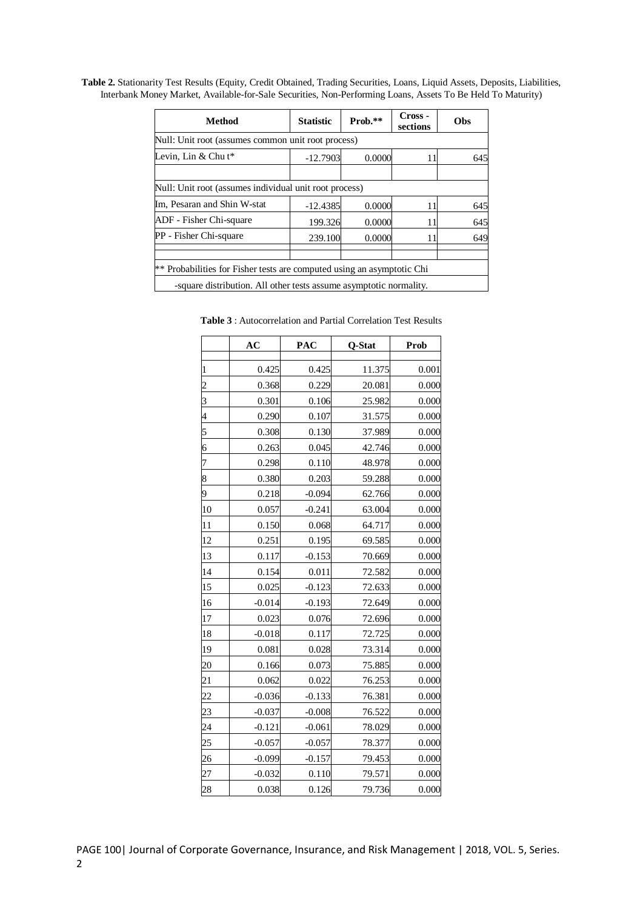**Table 2.** Stationarity Test Results (Equity, Credit Obtained, Trading Securities, Loans, Liquid Assets, Deposits, Liabilities, Interbank Money Market, Available-for-Sale Securities, Non-Performing Loans, Assets To Be Held To Maturity)

| <b>Method</b>                                                                                                                                | <b>Statistic</b>                                       | $Prob.**$ | Cross -<br>sections | <b>Obs</b> |  |  |  |  |  |  |
|----------------------------------------------------------------------------------------------------------------------------------------------|--------------------------------------------------------|-----------|---------------------|------------|--|--|--|--|--|--|
| Null: Unit root (assumes common unit root process)                                                                                           |                                                        |           |                     |            |  |  |  |  |  |  |
| Levin, Lin $&$ Chu t*                                                                                                                        | $-12.7903$                                             | 0.0000    | 11                  | 645        |  |  |  |  |  |  |
|                                                                                                                                              |                                                        |           |                     |            |  |  |  |  |  |  |
|                                                                                                                                              | Null: Unit root (assumes individual unit root process) |           |                     |            |  |  |  |  |  |  |
| Im, Pesaran and Shin W-stat                                                                                                                  | $-12.4385$                                             | 0.0000    | 11                  | 645        |  |  |  |  |  |  |
| ADF - Fisher Chi-square                                                                                                                      | 199.326                                                | 0.0000    | 11                  | 645        |  |  |  |  |  |  |
| PP - Fisher Chi-square                                                                                                                       | 239.100                                                | 0.0000    | 11                  | 649        |  |  |  |  |  |  |
| ** Probabilities for Fisher tests are computed using an asymptotic Chi<br>-square distribution. All other tests assume asymptotic normality. |                                                        |           |                     |            |  |  |  |  |  |  |

**AC PAC Q-Stat Prob** 1 0.425 0.425 11.375 0.001 2 0.368 0.229 20.081 0.000 3 0.301 0.106 25.982 0.000 0.290 0.107 31.575 0.000 0.308 0.130 37.989 0.000 6 0.263 0.045 42.746 0.000 0.298 0.110 48.978 0.000 0.380 0.203 59.288 0.000 0.218 -0.094 62.766 0.000 10 0.057 -0.241 63.004 0.000 11 0.150 0.068 64.717 0.000 12 0.251 0.195 69.585 0.000 13 0.117 -0.153 70.669 0.000 14 0.154 0.011 72.582 0.000 15 0.025 -0.123 72.633 0.000 16 -0.014 -0.193 72.649 0.000 17 0.023 0.076 72.696 0.000 18  $-0.018$  0.117 72.725 0.000 19 0.081 0.028 73.314 0.000 20 0.166 0.073 75.885 0.000 21 0.062 0.022 76.253 0.000 22  $-0.036$   $-0.133$   $76.381$   $0.000$ 23 -0.037 -0.008 76.522 0.000 24  $-0.121$   $-0.061$   $78.029$   $0.000$ 25  $-0.057$   $-0.057$  78.377 0.000 26  $-0.099$   $-0.157$  79.453  $0.000$ 27  $-0.032$   $0.110$   $79.571$   $0.000$ 28 0.038 0.126 79.736 0.000

**Table 3** : Autocorrelation and Partial Correlation Test Results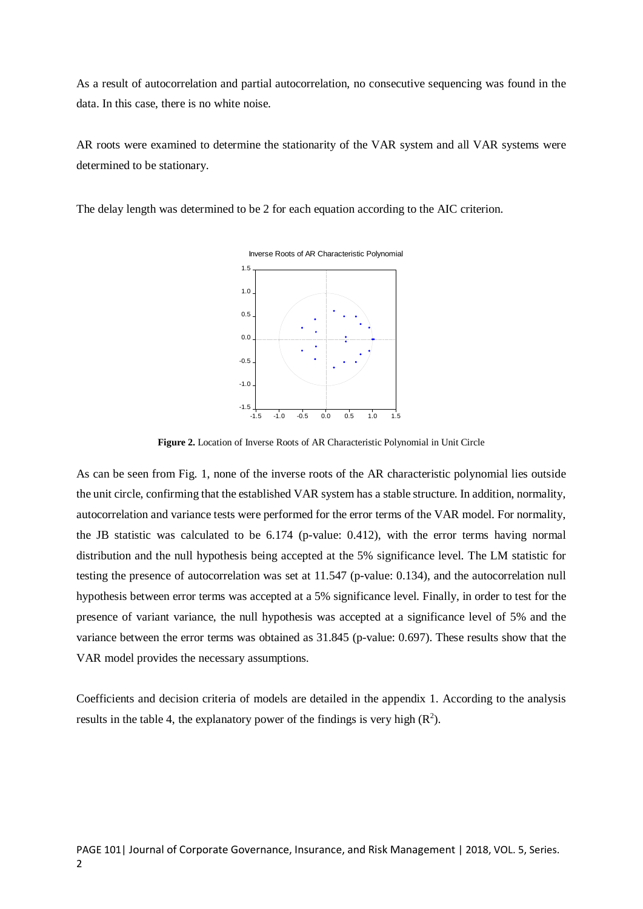As a result of autocorrelation and partial autocorrelation, no consecutive sequencing was found in the data. In this case, there is no white noise.

AR roots were examined to determine the stationarity of the VAR system and all VAR systems were determined to be stationary.

The delay length was determined to be 2 for each equation according to the AIC criterion.



**Figure 2.** Location of Inverse Roots of AR Characteristic Polynomial in Unit Circle

As can be seen from Fig. 1, none of the inverse roots of the AR characteristic polynomial lies outside the unit circle, confirming that the established VAR system has a stable structure. In addition, normality, autocorrelation and variance tests were performed for the error terms of the VAR model. For normality, the JB statistic was calculated to be 6.174 (p-value: 0.412), with the error terms having normal distribution and the null hypothesis being accepted at the 5% significance level. The LM statistic for testing the presence of autocorrelation was set at 11.547 (p-value: 0.134), and the autocorrelation null hypothesis between error terms was accepted at a 5% significance level. Finally, in order to test for the presence of variant variance, the null hypothesis was accepted at a significance level of 5% and the variance between the error terms was obtained as 31.845 (p-value: 0.697). These results show that the VAR model provides the necessary assumptions.

Coefficients and decision criteria of models are detailed in the appendix 1. According to the analysis results in the table 4, the explanatory power of the findings is very high  $(R^2)$ .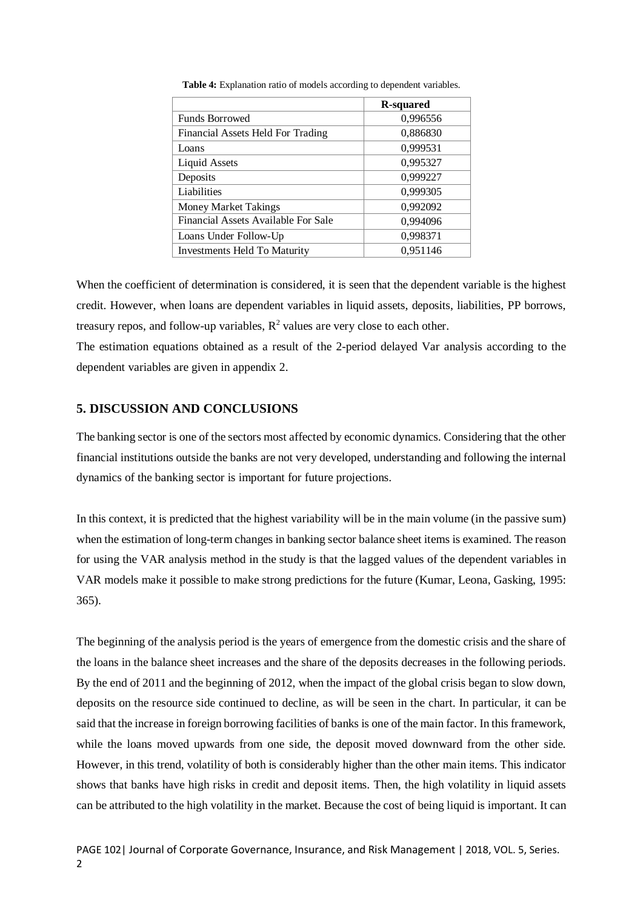|                                     | <b>R-squared</b> |
|-------------------------------------|------------------|
| <b>Funds Borrowed</b>               | 0,996556         |
| Financial Assets Held For Trading   | 0,886830         |
| Loans                               | 0,999531         |
| <b>Liquid Assets</b>                | 0,995327         |
| Deposits                            | 0,999227         |
| Liabilities                         | 0,999305         |
| <b>Money Market Takings</b>         | 0,992092         |
| Financial Assets Available For Sale | 0,994096         |
| Loans Under Follow-Up               | 0,998371         |
| <b>Investments Held To Maturity</b> | 0,951146         |

**Table 4:** Explanation ratio of models according to dependent variables.

When the coefficient of determination is considered, it is seen that the dependent variable is the highest credit. However, when loans are dependent variables in liquid assets, deposits, liabilities, PP borrows, treasury repos, and follow-up variables,  $R^2$  values are very close to each other.

The estimation equations obtained as a result of the 2-period delayed Var analysis according to the dependent variables are given in appendix 2.

## **5. DISCUSSION AND CONCLUSIONS**

The banking sector is one of the sectors most affected by economic dynamics. Considering that the other financial institutions outside the banks are not very developed, understanding and following the internal dynamics of the banking sector is important for future projections.

In this context, it is predicted that the highest variability will be in the main volume (in the passive sum) when the estimation of long-term changes in banking sector balance sheet items is examined. The reason for using the VAR analysis method in the study is that the lagged values of the dependent variables in VAR models make it possible to make strong predictions for the future (Kumar, Leona, Gasking, 1995: 365).

The beginning of the analysis period is the years of emergence from the domestic crisis and the share of the loans in the balance sheet increases and the share of the deposits decreases in the following periods. By the end of 2011 and the beginning of 2012, when the impact of the global crisis began to slow down, deposits on the resource side continued to decline, as will be seen in the chart. In particular, it can be said that the increase in foreign borrowing facilities of banks is one of the main factor. In this framework, while the loans moved upwards from one side, the deposit moved downward from the other side. However, in this trend, volatility of both is considerably higher than the other main items. This indicator shows that banks have high risks in credit and deposit items. Then, the high volatility in liquid assets can be attributed to the high volatility in the market. Because the cost of being liquid is important. It can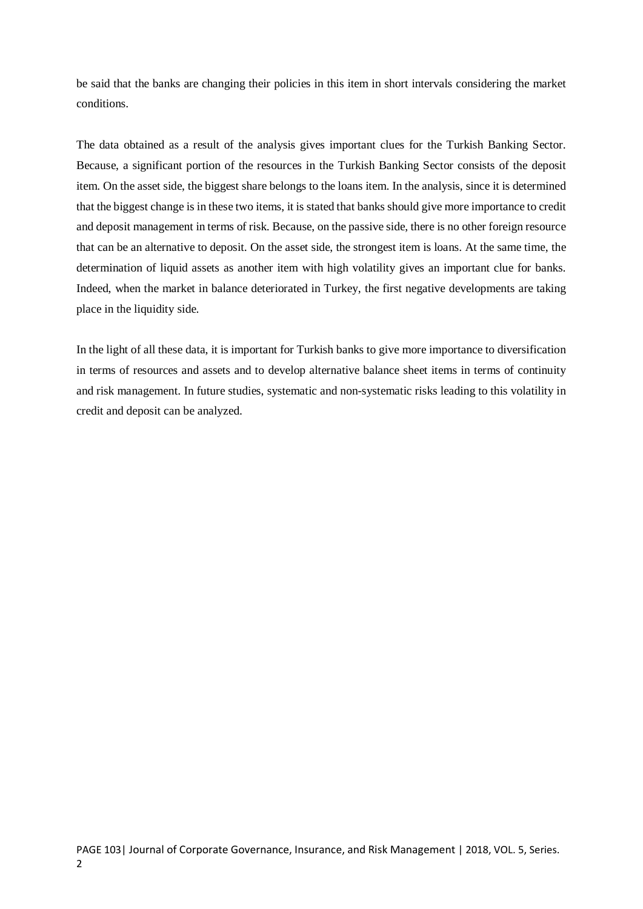be said that the banks are changing their policies in this item in short intervals considering the market conditions.

The data obtained as a result of the analysis gives important clues for the Turkish Banking Sector. Because, a significant portion of the resources in the Turkish Banking Sector consists of the deposit item. On the asset side, the biggest share belongs to the loans item. In the analysis, since it is determined that the biggest change is in these two items, it is stated that banks should give more importance to credit and deposit management in terms of risk. Because, on the passive side, there is no other foreign resource that can be an alternative to deposit. On the asset side, the strongest item is loans. At the same time, the determination of liquid assets as another item with high volatility gives an important clue for banks. Indeed, when the market in balance deteriorated in Turkey, the first negative developments are taking place in the liquidity side.

In the light of all these data, it is important for Turkish banks to give more importance to diversification in terms of resources and assets and to develop alternative balance sheet items in terms of continuity and risk management. In future studies, systematic and non-systematic risks leading to this volatility in credit and deposit can be analyzed.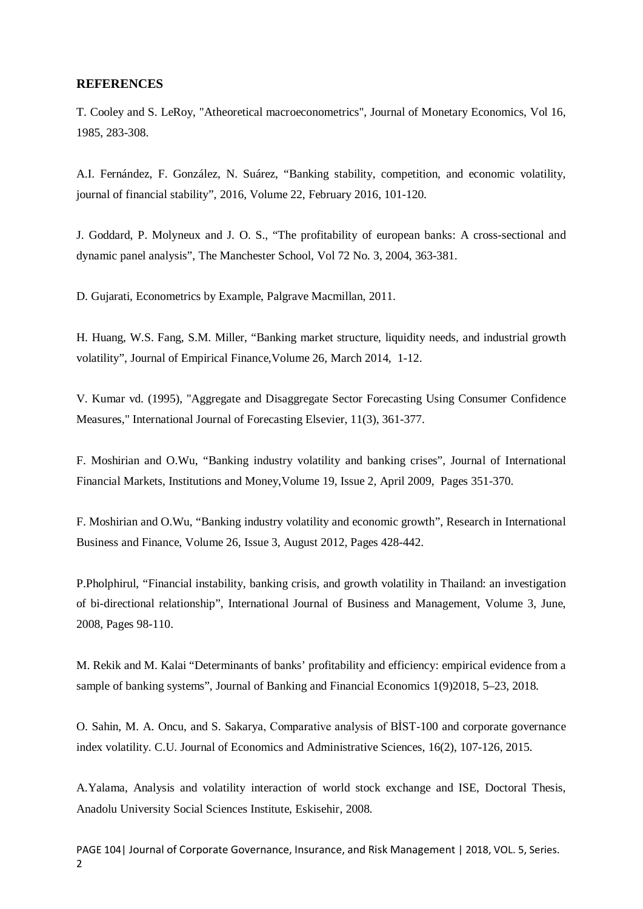### **REFERENCES**

T. Cooley and S. LeRoy, "Atheoretical macroeconometrics", Journal of Monetary Economics, Vol 16, 1985, 283-308.

A.I. [Fernández,](https://www.sciencedirect.com/science/article/abs/pii/S1572308916000061#!) F. [González,](https://www.sciencedirect.com/science/article/abs/pii/S1572308916000061#!) N. [Suárez,](https://www.sciencedirect.com/science/article/abs/pii/S1572308916000061#!) "Banking stability, competition, and economic volatility, [journal of financial stability"](https://www.sciencedirect.com/science/journal/15723089), 2016, [Volume 22,](https://www.sciencedirect.com/science/journal/15723089/22/supp/C) February 2016, 101-120.

J. Goddard, P. Molyneux and J. O. S., "The profitability of european banks: A cross-sectional and dynamic panel analysis", The Manchester School, Vol 72 No. 3, 2004, 363-381.

D. Gujarati, Econometrics by Example, Palgrave Macmillan, 2011.

H. [Huang,](https://www.sciencedirect.com/science/article/abs/pii/S0927539814000024#!) W.S. [Fang,](https://www.sciencedirect.com/science/article/abs/pii/S0927539814000024#!) S.M. [Miller,](https://www.sciencedirect.com/science/article/abs/pii/S0927539814000024#!) "Banking market structure, liquidity needs, and industrial growth volatility", [Journal of Empirical Finance,](https://www.sciencedirect.com/science/journal/09275398)[Volume 26,](https://www.sciencedirect.com/science/journal/09275398/26/supp/C) March 2014, 1-12.

V. Kumar vd. (1995), "Aggregate and Disaggregate Sector Forecasting Using Consumer Confidence Measures," International Journal of Forecasting Elsevier, 11(3), 361-377.

F. [Moshirian and](https://www.sciencedirect.com/science/article/abs/pii/S1042443108000085#!) O[.Wu,](https://www.sciencedirect.com/science/article/abs/pii/S1042443108000085#!) "Banking industry volatility and banking crises", [Journal of International](https://www.sciencedirect.com/science/journal/10424431)  [Financial Markets, Institutions and Money,](https://www.sciencedirect.com/science/journal/10424431)[Volume 19, Issue 2,](https://www.sciencedirect.com/science/journal/10424431/19/2) April 2009, Pages 351-370.

F. [Moshirian and](https://www.sciencedirect.com/science/article/abs/pii/S1042443108000085#!) O[.Wu,](https://www.sciencedirect.com/science/article/abs/pii/S1042443108000085#!) "Banking industry volatility and economic growth", [Research in International](https://www.sciencedirect.com/science/journal/02755319)  [Business and Finance,](https://www.sciencedirect.com/science/journal/02755319) [Volume 26, Issue 3,](https://www.sciencedirect.com/science/journal/02755319/26/3) August 2012, Pages 428-442.

P.Pholphirul, "Financial instability, banking crisis, and growth volatility in Thailand: an investigation of bi-directional relationship", International Journal of Business and Management, [Volume 3,](https://www.sciencedirect.com/science/journal/15723089/22/supp/C) June, 2008, Pages 98-110.

M. Rekik and M. Kalai "Determinants of banks' profitability and efficiency: empirical evidence from a sample of banking systems", Journal of Banking and Financial Economics 1(9)2018, 5–23, 2018.

O. Sahin, M. A. Oncu, and S. Sakarya, Comparative analysis of BİST-100 and corporate governance index volatility. C.U. Journal of Economics and Administrative Sciences, 16(2), 107-126, 2015.

A.Yalama, Analysis and volatility interaction of world stock exchange and ISE, Doctoral Thesis, Anadolu University Social Sciences Institute, Eskisehir, 2008.

PAGE 104| Journal of Corporate Governance, Insurance, and Risk Management | 2018, VOL. 5, Series.  $\overline{2}$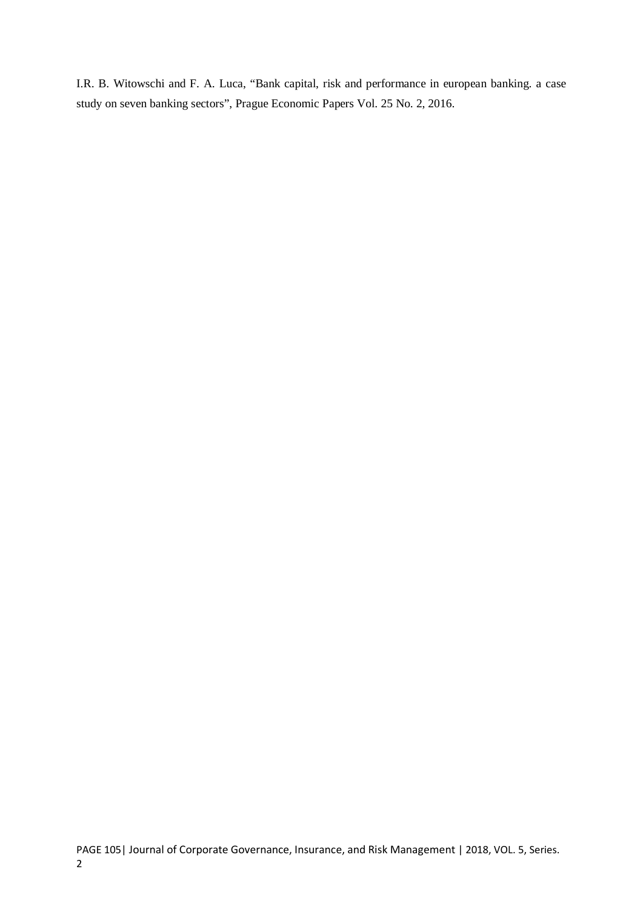I.R. B. Witowschi and F. A. Luca, "Bank capital, risk and performance in european banking. a case study on seven banking sectors", [Prague Economic Papers Vol.](https://www.vse.cz/pep/cislo.php?lang=en&cislo=2&rocnik=2016) 25 No. 2, 2016.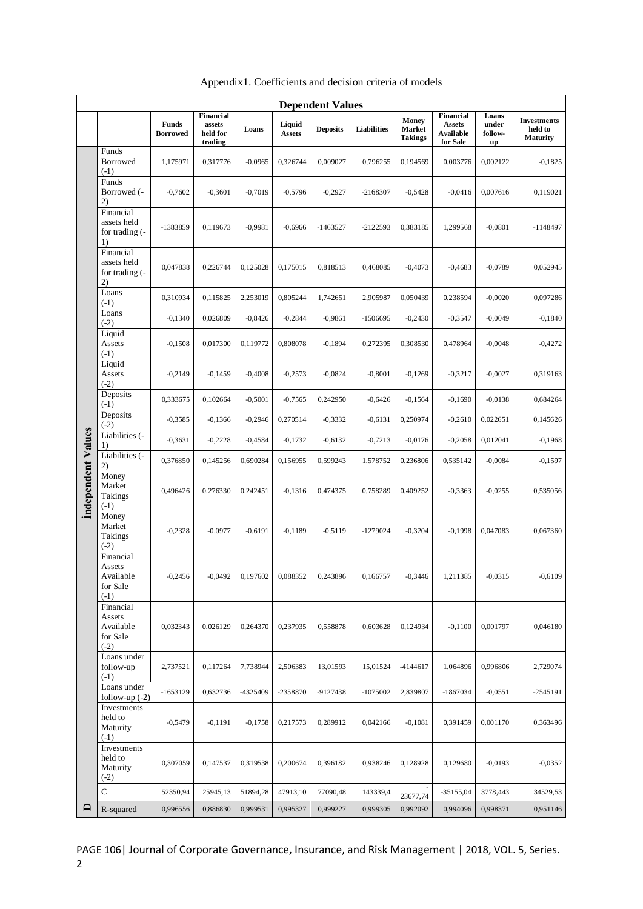| <b>Dependent Values</b>   |                                                        |                          |                                            |           |                         |                 |                    |                                   |                                                                   |                                 |                                                  |
|---------------------------|--------------------------------------------------------|--------------------------|--------------------------------------------|-----------|-------------------------|-----------------|--------------------|-----------------------------------|-------------------------------------------------------------------|---------------------------------|--------------------------------------------------|
|                           |                                                        | Funds<br><b>Borrowed</b> | Financial<br>assets<br>held for<br>trading | Loans     | Liquid<br><b>Assets</b> | <b>Deposits</b> | <b>Liabilities</b> | Money<br>Market<br><b>Takings</b> | <b>Financial</b><br><b>Assets</b><br><b>Available</b><br>for Sale | Loans<br>under<br>follow-<br>up | <b>Investments</b><br>held to<br><b>Maturity</b> |
|                           | Funds<br>Borrowed<br>$(-1)$                            | 1.175971                 | 0,317776                                   | $-0,0965$ | 0,326744                | 0,009027        | 0,796255           | 0,194569                          | 0,003776                                                          | 0,002122                        | $-0.1825$                                        |
|                           | Funds<br>Borrowed (-<br>2)                             | $-0,7602$                | $-0,3601$                                  | $-0,7019$ | $-0,5796$               | $-0,2927$       | -2168307           | $-0,5428$                         | $-0,0416$                                                         | 0,007616                        | 0,119021                                         |
|                           | Financial<br>assets held<br>for trading (-<br>1)       | -1383859                 | 0,119673                                   | $-0.9981$ | $-0,6966$               | $-1463527$      | $-2122593$         | 0,383185                          | 1,299568                                                          | $-0,0801$                       | $-1148497$                                       |
|                           | Financial<br>assets held<br>for trading (-<br>2)       | 0,047838                 | 0,226744                                   | 0,125028  | 0,175015                | 0,818513        | 0,468085           | $-0,4073$                         | $-0,4683$                                                         | $-0,0789$                       | 0,052945                                         |
|                           | Loans<br>$(-1)$                                        | 0,310934                 | 0,115825                                   | 2,253019  | 0,805244                | 1,742651        | 2,905987           | 0,050439                          | 0,238594                                                          | $-0,0020$                       | 0,097286                                         |
|                           | Loans<br>$(-2)$                                        | $-0,1340$                | 0,026809                                   | $-0,8426$ | $-0,2844$               | $-0,9861$       | $-1506695$         | $-0,2430$                         | $-0,3547$                                                         | $-0,0049$                       | $-0,1840$                                        |
|                           | Liquid<br>Assets<br>$(-1)$                             | $-0,1508$                | 0,017300                                   | 0,119772  | 0,808078                | $-0,1894$       | 0,272395           | 0,308530                          | 0,478964                                                          | $-0,0048$                       | $-0,4272$                                        |
|                           | Liquid<br>Assets<br>$(-2)$                             | $-0,2149$                | $-0,1459$                                  | $-0,4008$ | $-0,2573$               | $-0,0824$       | $-0,8001$          | $-0,1269$                         | $-0,3217$                                                         | $-0,0027$                       | 0,319163                                         |
|                           | Deposits<br>$(-1)$                                     | 0,333675                 | 0,102664                                   | $-0,5001$ | $-0,7565$               | 0,242950        | $-0,6426$          | $-0,1564$                         | $-0,1690$                                                         | $-0,0138$                       | 0,684264                                         |
|                           | Deposits<br>$(-2)$                                     | $-0,3585$                | $-0,1366$                                  | $-0,2946$ | 0,270514                | $-0,3332$       | $-0,6131$          | 0,250974                          | $-0,2610$                                                         | 0,022651                        | 0,145626                                         |
|                           | Liabilities (-<br>1)                                   | $-0,3631$                | $-0,2228$                                  | $-0,4584$ | $-0,1732$               | $-0,6132$       | $-0,7213$          | $-0,0176$                         | $-0,2058$                                                         | 0,012041                        | $-0,1968$                                        |
|                           | Liabilities (-<br>2)                                   | 0,376850                 | 0,145256                                   | 0,690284  | 0,156955                | 0,599243        | 1,578752           | 0,236806                          | 0,535142                                                          | $-0,0084$                       | $-0,1597$                                        |
| <b>Independent Values</b> | Money<br>Market<br><b>Takings</b><br>$(-1)$            | 0,496426                 | 0,276330                                   | 0,242451  | $-0,1316$               | 0,474375        | 0,758289           | 0,409252                          | $-0,3363$                                                         | $-0,0255$                       | 0,535056                                         |
|                           | Money<br>Market<br>Takings<br>$(-2)$                   | $-0,2328$                | $-0,0977$                                  | $-0,6191$ | $-0,1189$               | $-0,5119$       | $-1279024$         | $-0,3204$                         | $-0,1998$                                                         | 0,047083                        | 0,067360                                         |
|                           | Financial<br>Assets<br>Available<br>for Sale<br>$(-1)$ | $-0,2456$                | $-0,0492$                                  | 0,197602  | 0,088352                | 0,243896        | 0,166757           | $-0,3446$                         | 1,211385                                                          | $-0,0315$                       | $-0,6109$                                        |
|                           | Financial<br>Assets<br>Available<br>for Sale<br>$(-2)$ | 0,032343                 | 0,026129                                   | 0,264370  | 0,237935                | 0,558878        | 0,603628           | 0,124934                          | $-0,1100$                                                         | 0,001797                        | 0,046180                                         |
|                           | Loans under<br>follow-up<br>$(-1)$                     | 2,737521                 | 0,117264                                   | 7,738944  | 2,506383                | 13,01593        | 15,01524           | $-4144617$                        | 1,064896                                                          | 0,996806                        | 2,729074                                         |
|                           | Loans under<br>follow-up $(-2)$                        | $-1653129$               | 0,632736                                   | -4325409  | -2358870                | -9127438        | $-1075002$         | 2,839807                          | $-1867034$                                                        | $-0,0551$                       | $-2545191$                                       |
|                           | Investments<br>held to<br>Maturity<br>$(-1)$           | $-0,5479$                | $-0,1191$                                  | $-0,1758$ | 0,217573                | 0,289912        | 0,042166           | $-0,1081$                         | 0,391459                                                          | 0,001170                        | 0,363496                                         |
|                           | Investments<br>held to<br>Maturity<br>$(-2)$           | 0,307059                 | 0,147537                                   | 0,319538  | 0,200674                | 0,396182        | 0,938246           | 0,128928                          | 0,129680                                                          | $-0,0193$                       | $-0,0352$                                        |
|                           | $\mathbf C$                                            | 52350,94                 | 25945,13                                   | 51894,28  | 47913,10                | 77090,48        | 143339,4           | 23677,74                          | $-35155,04$                                                       | 3778,443                        | 34529,53                                         |
| $\Box$                    | R-squared                                              | 0,996556                 | 0,886830                                   | 0,999531  | 0,995327                | 0,999227        | 0,999305           | 0,992092                          | 0,994096                                                          | 0,998371                        | 0,951146                                         |

Appendix1. Coefficients and decision criteria of models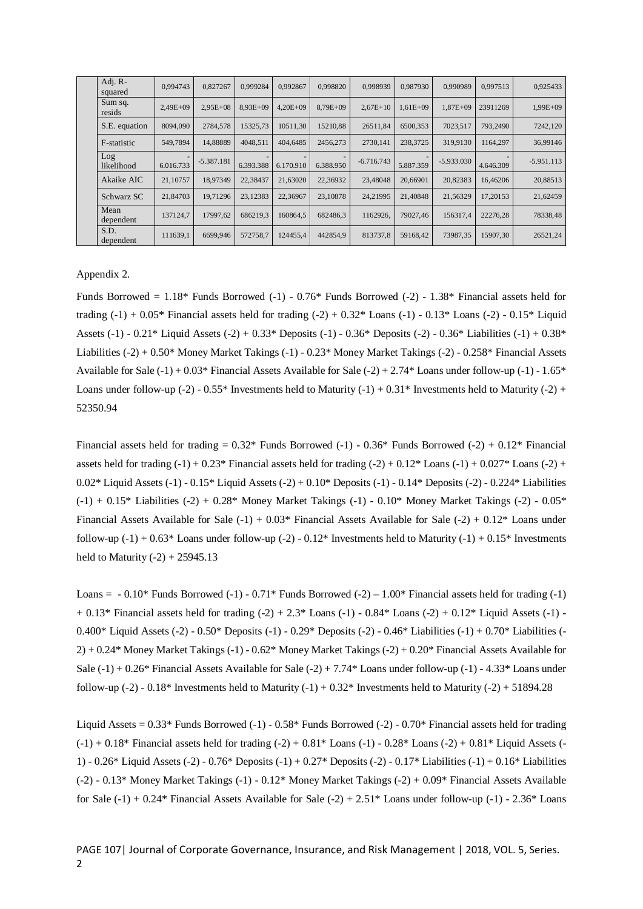| Adj. R-<br>squared | 0.994743     | 0,827267     | 0,999284     | 0.992867     | 0.998820     | 0.998939     | 0.987930     | 0.990989     | 0.997513  | 0,925433     |
|--------------------|--------------|--------------|--------------|--------------|--------------|--------------|--------------|--------------|-----------|--------------|
| Sum sq.<br>resids  | $2.49E + 09$ | $2.95E+08$   | $8.93E + 09$ | $4.20E + 09$ | $8.79E + 09$ | $2,67E+10$   | $1.61E + 09$ | $1.87E + 09$ | 23911269  | $1,99E+09$   |
| S.E. equation      | 8094.090     | 2784.578     | 15325.73     | 10511.30     | 15210.88     | 26511.84     | 6500.353     | 7023.517     | 793,2490  | 7242,120     |
| F-statistic        | 549,7894     | 14.88889     | 4048.511     | 404,6485     | 2456.273     | 2730.141     | 238,3725     | 319,9130     | 1164.297  | 36,99146     |
| Log<br>likelihood  | 6.016.733    | $-5.387.181$ | 6.393.388    | 6.170.910    | 6.388.950    | $-6.716.743$ | 5.887.359    | $-5.933.030$ | 4.646.309 | $-5.951.113$ |
| Akaike AIC         | 21,10757     | 18,97349     | 22,38437     | 21.63020     | 22,36932     | 23,48048     | 20,66901     | 20,82383     | 16.46206  | 20,88513     |
| Schwarz SC         | 21,84703     | 19.71296     | 23.12383     | 22,36967     | 23,10878     | 24.21995     | 21,40848     | 21.56329     | 17,20153  | 21,62459     |
| Mean<br>dependent  | 137124.7     | 17997,62     | 686219.3     | 160864.5     | 682486.3     | 1162926,     | 79027.46     | 156317.4     | 22276,28  | 78338,48     |
| S.D.<br>dependent  | 111639,1     | 6699.946     | 572758.7     | 124455.4     | 442854.9     | 813737.8     | 59168.42     | 73987.35     | 15907.30  | 26521,24     |

Appendix 2.

Funds Borrowed = 1.18\* Funds Borrowed (-1) - 0.76\* Funds Borrowed (-2) - 1.38\* Financial assets held for trading  $(-1) + 0.05^*$  Financial assets held for trading  $(-2) + 0.32^*$  Loans  $(-1) - 0.13^*$  Loans  $(-2) - 0.15^*$  Liquid Assets (-1) -  $0.21*$  Liquid Assets (-2) +  $0.33*$  Deposits (-1) -  $0.36*$  Deposits (-2) -  $0.36*$  Liabilities (-1) +  $0.38*$ Liabilities (-2) + 0.50\* Money Market Takings (-1) - 0.23\* Money Market Takings (-2) - 0.258\* Financial Assets Available for Sale (-1) + 0.03\* Financial Assets Available for Sale (-2) + 2.74\* Loans under follow-up (-1) - 1.65\* Loans under follow-up (-2) - 0.55\* Investments held to Maturity (-1) + 0.31\* Investments held to Maturity (-2) + 52350.94

Financial assets held for trading  $= 0.32*$  Funds Borrowed (-1) - 0.36\* Funds Borrowed (-2) + 0.12\* Financial assets held for trading  $(-1) + 0.23*$  Financial assets held for trading  $(-2) + 0.12*$  Loans  $(-1) + 0.027*$  Loans  $(-2) +$ 0.02\* Liquid Assets (-1) - 0.15\* Liquid Assets (-2) + 0.10\* Deposits (-1) - 0.14\* Deposits (-2) - 0.224\* Liabilities (-1) + 0.15\* Liabilities (-2) + 0.28\* Money Market Takings (-1) - 0.10\* Money Market Takings (-2) - 0.05\* Financial Assets Available for Sale  $(-1) + 0.03*$  Financial Assets Available for Sale  $(-2) + 0.12*$  Loans under follow-up  $(-1) + 0.63*$  Loans under follow-up  $(-2)$  - 0.12\* Investments held to Maturity  $(-1) + 0.15*$  Investments held to Maturity  $(-2) + 25945.13$ 

Loans =  $-0.10^*$  Funds Borrowed  $(-1)$  - 0.71\* Funds Borrowed  $(-2)$  – 1.00\* Financial assets held for trading  $(-1)$  $+ 0.13*$  Financial assets held for trading  $(-2) + 2.3*$  Loans  $(-1) - 0.84*$  Loans  $(-2) + 0.12*$  Liquid Assets  $(-1)$ 0.400\* Liquid Assets (-2) - 0.50\* Deposits (-1) - 0.29\* Deposits (-2) - 0.46\* Liabilities (-1) + 0.70\* Liabilities (- 2) + 0.24\* Money Market Takings (-1) - 0.62\* Money Market Takings (-2) + 0.20\* Financial Assets Available for Sale (-1) + 0.26\* Financial Assets Available for Sale (-2) + 7.74\* Loans under follow-up (-1) - 4.33\* Loans under follow-up (-2) - 0.18\* Investments held to Maturity (-1) + 0.32\* Investments held to Maturity (-2) + 51894.28

Liquid Assets = 0.33\* Funds Borrowed (-1) - 0.58\* Funds Borrowed (-2) - 0.70\* Financial assets held for trading  $(-1) + 0.18*$  Financial assets held for trading  $(-2) + 0.81*$  Loans  $(-1) - 0.28*$  Loans  $(-2) + 0.81*$  Liquid Assets (-1) - 0.26\* Liquid Assets (-2) - 0.76\* Deposits (-1) + 0.27\* Deposits (-2) - 0.17\* Liabilities (-1) + 0.16\* Liabilities (-2) - 0.13\* Money Market Takings (-1) - 0.12\* Money Market Takings (-2) + 0.09\* Financial Assets Available for Sale  $(-1) + 0.24*$  Financial Assets Available for Sale  $(-2) + 2.51*$  Loans under follow-up  $(-1) - 2.36*$  Loans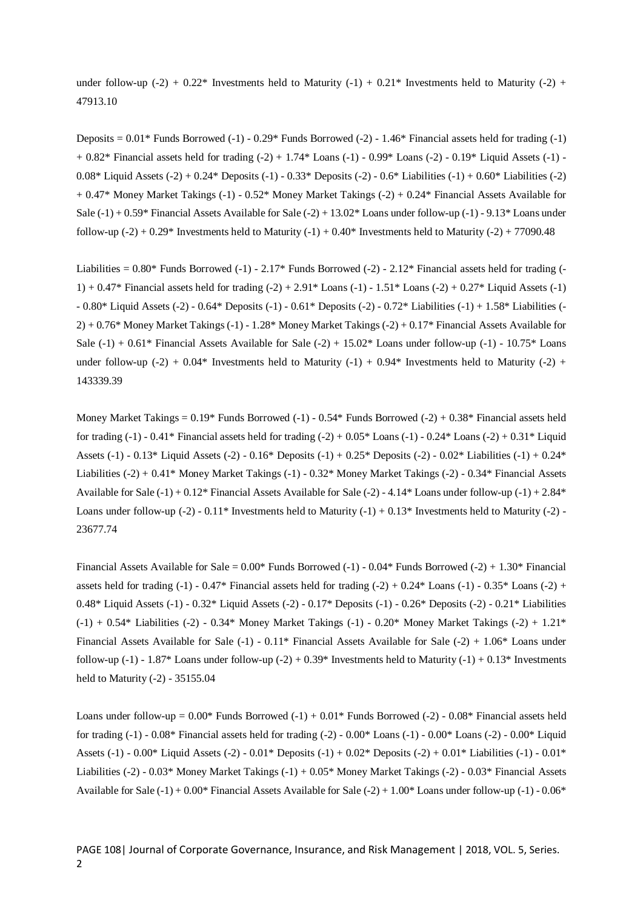under follow-up (-2) + 0.22\* Investments held to Maturity (-1) + 0.21\* Investments held to Maturity (-2) + 47913.10

Deposits  $= 0.01^*$  Funds Borrowed (-1) - 0.29\* Funds Borrowed (-2) - 1.46\* Financial assets held for trading (-1)  $+ 0.82*$  Financial assets held for trading  $(-2) + 1.74*$  Loans  $(-1) - 0.99*$  Loans  $(-2) - 0.19*$  Liquid Assets  $(-1)$ 0.08\* Liquid Assets  $(-2) + 0.24$ \* Deposits  $(-1) - 0.33$ \* Deposits  $(-2) - 0.6$ \* Liabilities  $(-1) + 0.60$ \* Liabilities  $(-2)$ + 0.47\* Money Market Takings (-1) - 0.52\* Money Market Takings (-2) + 0.24\* Financial Assets Available for Sale (-1) + 0.59\* Financial Assets Available for Sale (-2) + 13.02\* Loans under follow-up (-1) - 9.13\* Loans under follow-up  $(-2) + 0.29*$  Investments held to Maturity  $(-1) + 0.40*$  Investments held to Maturity  $(-2) + 77090.48$ 

Liabilities =  $0.80*$  Funds Borrowed (-1) -  $2.17*$  Funds Borrowed (-2) -  $2.12*$  Financial assets held for trading (-1) + 0.47\* Financial assets held for trading  $(-2) + 2.91*$  Loans  $(-1)$  - 1.51\* Loans  $(-2) + 0.27*$  Liquid Assets  $(-1)$ - 0.80\* Liquid Assets (-2) - 0.64\* Deposits (-1) - 0.61\* Deposits (-2) - 0.72\* Liabilities (-1) + 1.58\* Liabilities (- 2) + 0.76\* Money Market Takings (-1) - 1.28\* Money Market Takings (-2) + 0.17\* Financial Assets Available for Sale  $(-1) + 0.61*$  Financial Assets Available for Sale  $(-2) + 15.02*$  Loans under follow-up  $(-1)$  - 10.75\* Loans under follow-up (-2) +  $0.04*$  Investments held to Maturity (-1) +  $0.94*$  Investments held to Maturity (-2) + 143339.39

Money Market Takings = 0.19\* Funds Borrowed (-1) - 0.54\* Funds Borrowed (-2) + 0.38\* Financial assets held for trading  $(-1)$  - 0.41\* Financial assets held for trading  $(-2)$  + 0.05\* Loans  $(-1)$  - 0.24\* Loans  $(-2)$  + 0.31\* Liquid Assets (-1) - 0.13\* Liquid Assets (-2) - 0.16\* Deposits (-1) + 0.25\* Deposits (-2) - 0.02\* Liabilities (-1) + 0.24\* Liabilities (-2) + 0.41\* Money Market Takings (-1) - 0.32\* Money Market Takings (-2) - 0.34\* Financial Assets Available for Sale  $(-1) + 0.12^*$  Financial Assets Available for Sale  $(-2)$  - 4.14\* Loans under follow-up  $(-1) + 2.84^*$ Loans under follow-up  $(-2)$  - 0.11\* Investments held to Maturity  $(-1)$  + 0.13\* Investments held to Maturity  $(-2)$  -23677.74

Financial Assets Available for Sale =  $0.00^*$  Funds Borrowed (-1) -  $0.04^*$  Funds Borrowed (-2) + 1.30\* Financial assets held for trading  $(-1)$  - 0.47\* Financial assets held for trading  $(-2)$  + 0.24\* Loans  $(-1)$  - 0.35\* Loans  $(-2)$  + 0.48\* Liquid Assets (-1) - 0.32\* Liquid Assets (-2) - 0.17\* Deposits (-1) - 0.26\* Deposits (-2) - 0.21\* Liabilities (-1) + 0.54\* Liabilities (-2) - 0.34\* Money Market Takings (-1) - 0.20\* Money Market Takings (-2) + 1.21\* Financial Assets Available for Sale (-1) - 0.11\* Financial Assets Available for Sale (-2) + 1.06\* Loans under follow-up (-1) - 1.87\* Loans under follow-up (-2) + 0.39\* Investments held to Maturity (-1) + 0.13\* Investments held to Maturity (-2) - 35155.04

Loans under follow-up =  $0.00*$  Funds Borrowed  $(-1) + 0.01*$  Funds Borrowed  $(-2) - 0.08*$  Financial assets held for trading (-1) - 0.08\* Financial assets held for trading (-2) - 0.00\* Loans (-1) - 0.00\* Loans (-2) - 0.00\* Liquid Assets (-1) - 0.00\* Liquid Assets (-2) - 0.01\* Deposits (-1) + 0.02\* Deposits (-2) + 0.01\* Liabilities (-1) - 0.01\* Liabilities (-2) - 0.03\* Money Market Takings (-1) + 0.05\* Money Market Takings (-2) - 0.03\* Financial Assets Available for Sale  $(-1) + 0.00*$  Financial Assets Available for Sale  $(-2) + 1.00*$  Loans under follow-up  $(-1)$  - 0.06\*